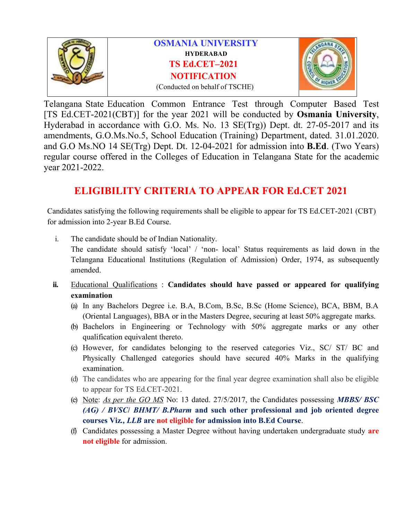

Telangana State Education Common Entrance Test through Computer Based Test [TS Ed.CET-2021(CBT)] for the year2021 will be conducted by **Osmania University**, Hyderabad in accordance with G.O. Ms. No. 13 SE(Trg)) Dept. dt. 27-05-2017 and its amendments, G.O.Ms.No.5, School Education (Training) Department, dated. 31.01.2020. and G.O Ms.NO 14 SE(Trg) Dept. Dt. 12-04-2021 for admission into **B.Ed**. (Two Years) regular course offered in the Colleges of Education in Telangana State for the academic year 2021-2022.

# **ELIGIBILITY CRITERIA TO APPEAR FOR Ed.CET 2021**

Candidates satisfying the following requirements shall be eligible to appear for TS Ed.CET-2021 (CBT) for admission into 2-year B.Ed Course.

- i. The candidate should be of Indian Nationality. The candidate should satisfy 'local' / 'non- local' Status requirements as laid down in the Telangana Educational Institutions (Regulation of Admission) Order, 1974, as subsequently amended.
- **ii.** Educational Qualifications : **Candidates should have passed or appeared for qualifying examination**
	- (a) In any Bachelors Degree i.e. B.A, B.Com, B.Sc, B.Sc (Home Science), BCA, BBM, B.A (Oriental Languages), BBA or in the Masters Degree, securing at least 50% aggregate marks.
	- (b) Bachelors in Engineering or Technology with 50% aggregate marks or any other qualification equivalent thereto.
	- (c) However, for candidates belonging to the reserved categories Viz., SC/ ST/ BC and Physically Challenged categories should have secured 40% Marks in the qualifying examination.
	- (d) The candidates who are appearing for the final year degree examination shall also be eligible to appear for TS Ed.CET-2021.
	- (e) Note: *As per the GO MS* No: 13 dated. 27/5/2017, the Candidates possessing *MBBS/ BSC (AG) / BVSC***/** *BHMT/ B.Pharm* **and such other professional and job oriented degree courses Viz***., LLB* **are not eligible for admission into B.Ed Course**.
	- (f) Candidates possessing a Master Degree without having undertaken undergraduate study **are not eligible** for admission.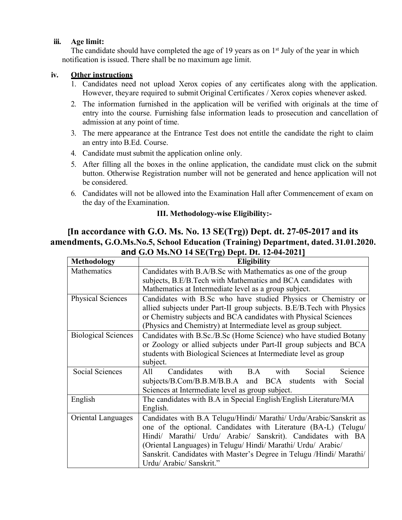#### **iii. Age limit:**

The candidate should have completed the age of 19 years as on 1<sup>st</sup> July of the year in which notification is issued. There shall be no maximum age limit.

## **iv. Other instructions**

- 1. Candidates need not upload Xerox copies of any certificates along with the application. However, theyare required to submit Original Certificates / Xerox copies whenever asked.
- 2. The information furnished in the application will be verified with originals at the time of entry into the course. Furnishing false information leads to prosecution and cancellation of admission at any point of time.
- 3. The mere appearance at the Entrance Test does not entitle the candidate the right to claim an entry into B.Ed. Course.
- 4. Candidate must submit the application online only.
- 5. After filling all the boxes in the online application, the candidate must click on the submit button. Otherwise Registration number will not be generated and hence application will not be considered.
- 6. Candidates will not be allowed into the Examination Hall after Commencement of exam on the day of the Examination.

## **III. Methodology-wise Eligibility:-**

# **[In accordance with G.O. Ms. No.13 SE(Trg)) Dept. dt. 27-05-2017 and its amendments, G.O.Ms.No.5, School Education (Training) Department, dated. 31.01.2020. and G.O Ms.NO 14 SE(Trg) Dept. Dt. 12-04-2021]**

| <b>Methodology</b>         | <b>Eligibility</b>                                                                                                                                                                      |  |  |  |
|----------------------------|-----------------------------------------------------------------------------------------------------------------------------------------------------------------------------------------|--|--|--|
| Mathematics                | Candidates with B.A/B.Sc with Mathematics as one of the group<br>subjects, B.E/B.Tech with Mathematics and BCA candidates with<br>Mathematics at Intermediate level as a group subject. |  |  |  |
|                            |                                                                                                                                                                                         |  |  |  |
|                            |                                                                                                                                                                                         |  |  |  |
| <b>Physical Sciences</b>   | Candidates with B.Sc who have studied Physics or Chemistry or                                                                                                                           |  |  |  |
|                            | allied subjects under Part-II group subjects. B.E/B.Tech with Physics<br>or Chemistry subjects and BCA candidates with Physical Sciences                                                |  |  |  |
|                            |                                                                                                                                                                                         |  |  |  |
|                            | (Physics and Chemistry) at Intermediate level as group subject.                                                                                                                         |  |  |  |
| <b>Biological Sciences</b> | Candidates with B.Sc./B.Sc (Home Science) who have studied Botany                                                                                                                       |  |  |  |
|                            | or Zoology or allied subjects under Part-II group subjects and BCA<br>students with Biological Sciences at Intermediate level as group                                                  |  |  |  |
|                            |                                                                                                                                                                                         |  |  |  |
|                            | subject.                                                                                                                                                                                |  |  |  |
| Social Sciences            | All<br>Candidates<br>B.A<br>Science<br>with<br>with<br>Social                                                                                                                           |  |  |  |
|                            | subjects/B.Com/B.B.M/B.B.A and BCA students with Social                                                                                                                                 |  |  |  |
|                            | Sciences at Intermediate level as group subject.                                                                                                                                        |  |  |  |
| English                    | The candidates with B.A in Special English/English Literature/MA                                                                                                                        |  |  |  |
|                            | English.                                                                                                                                                                                |  |  |  |
| <b>Oriental Languages</b>  | Candidates with B.A Telugu/Hindi/ Marathi/ Urdu/Arabic/Sanskrit as                                                                                                                      |  |  |  |
|                            | one of the optional. Candidates with Literature (BA-L) (Telugu/                                                                                                                         |  |  |  |
|                            | Hindi/ Marathi/ Urdu/ Arabic/ Sanskrit). Candidates with BA                                                                                                                             |  |  |  |
|                            | (Oriental Languages) in Telugu/ Hindi/ Marathi/ Urdu/ Arabic/                                                                                                                           |  |  |  |
|                            | Sanskrit. Candidates with Master's Degree in Telugu /Hindi/ Marathi/                                                                                                                    |  |  |  |
|                            | Urdu/ Arabic/ Sanskrit."                                                                                                                                                                |  |  |  |